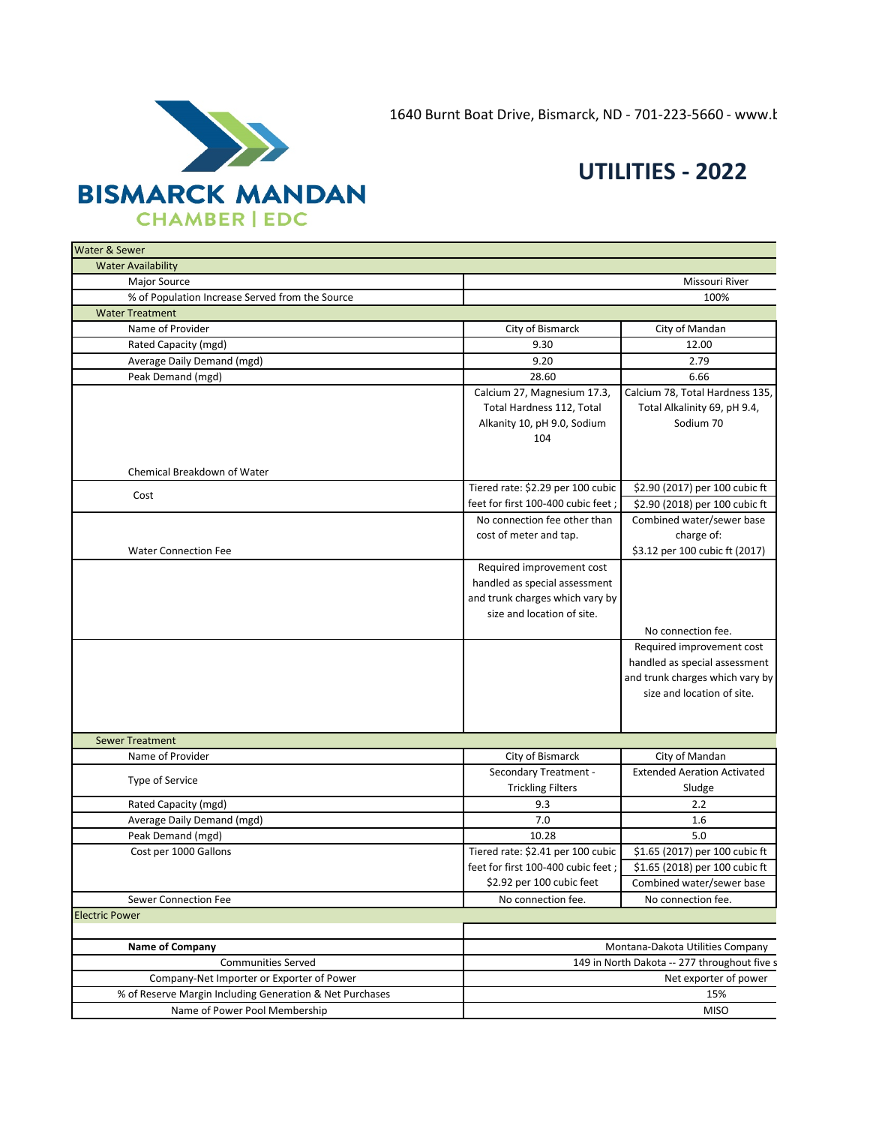1640 Burnt Boat Drive, Bismarck, ND - 701-223-5660 - www.b



## **UTILITIES - 2022**

| Water & Sewer                                            |                                     |                                              |
|----------------------------------------------------------|-------------------------------------|----------------------------------------------|
| <b>Water Availability</b>                                |                                     |                                              |
| Major Source                                             |                                     | Missouri River                               |
| % of Population Increase Served from the Source          |                                     | 100%                                         |
| <b>Water Treatment</b>                                   |                                     |                                              |
| Name of Provider                                         | City of Bismarck                    | City of Mandan                               |
| Rated Capacity (mgd)                                     | 9.30                                | 12.00                                        |
| Average Daily Demand (mgd)                               | 9.20                                | 2.79                                         |
| Peak Demand (mgd)                                        | 28.60                               | 6.66                                         |
|                                                          | Calcium 27, Magnesium 17.3,         | Calcium 78, Total Hardness 135,              |
|                                                          | Total Hardness 112, Total           | Total Alkalinity 69, pH 9.4,                 |
|                                                          | Alkanity 10, pH 9.0, Sodium         | Sodium 70                                    |
|                                                          | 104                                 |                                              |
|                                                          |                                     |                                              |
| Chemical Breakdown of Water                              |                                     |                                              |
| Cost                                                     | Tiered rate: \$2.29 per 100 cubic   | \$2.90 (2017) per 100 cubic ft               |
|                                                          | feet for first 100-400 cubic feet;  | \$2.90 (2018) per 100 cubic ft               |
|                                                          | No connection fee other than        | Combined water/sewer base                    |
|                                                          | cost of meter and tap.              | charge of:                                   |
| <b>Water Connection Fee</b>                              |                                     | \$3.12 per 100 cubic ft (2017)               |
|                                                          | Required improvement cost           |                                              |
|                                                          | handled as special assessment       |                                              |
|                                                          | and trunk charges which vary by     |                                              |
|                                                          | size and location of site.          |                                              |
|                                                          |                                     | No connection fee.                           |
|                                                          |                                     | Required improvement cost                    |
|                                                          |                                     | handled as special assessment                |
|                                                          |                                     | and trunk charges which vary by              |
|                                                          |                                     | size and location of site.                   |
|                                                          |                                     |                                              |
| <b>Sewer Treatment</b>                                   |                                     |                                              |
| Name of Provider                                         | City of Bismarck                    | City of Mandan                               |
|                                                          | <b>Secondary Treatment -</b>        | <b>Extended Aeration Activated</b>           |
| Type of Service                                          | <b>Trickling Filters</b>            | Sludge                                       |
| Rated Capacity (mgd)                                     | 9.3                                 | 2.2                                          |
| Average Daily Demand (mgd)                               | 7.0                                 | 1.6                                          |
| Peak Demand (mgd)                                        | 10.28                               | 5.0                                          |
| Cost per 1000 Gallons                                    | Tiered rate: \$2.41 per 100 cubic   | \$1.65 (2017) per 100 cubic ft               |
|                                                          | feet for first 100-400 cubic feet ; | \$1.65 (2018) per 100 cubic ft               |
|                                                          | \$2.92 per 100 cubic feet           | Combined water/sewer base                    |
| Sewer Connection Fee                                     | No connection fee.                  | No connection fee.                           |
| <b>Electric Power</b>                                    |                                     |                                              |
|                                                          |                                     |                                              |
| <b>Name of Company</b>                                   |                                     | Montana-Dakota Utilities Company             |
| <b>Communities Served</b>                                |                                     | 149 in North Dakota -- 277 throughout five s |
| Company-Net Importer or Exporter of Power                |                                     | Net exporter of power                        |
| % of Reserve Margin Including Generation & Net Purchases |                                     | 15%                                          |
| Name of Power Pool Membership                            |                                     | <b>MISO</b>                                  |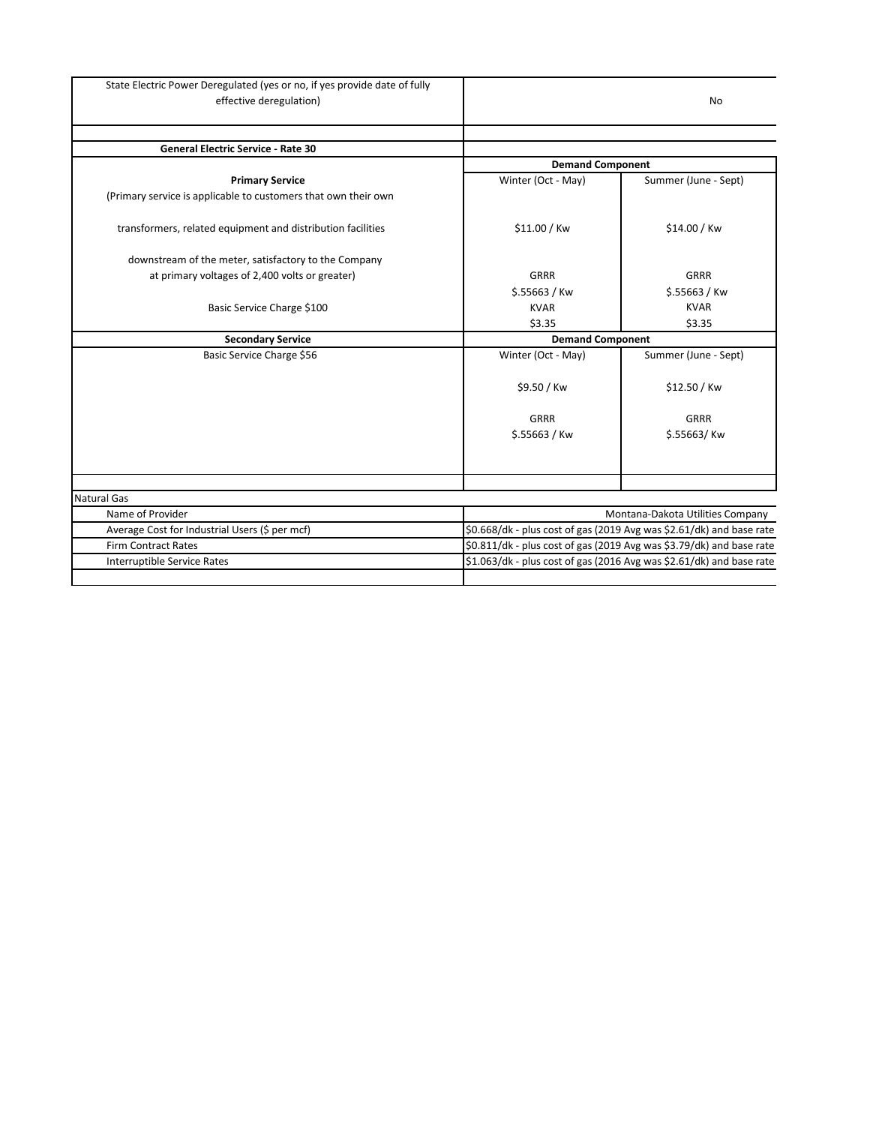| State Electric Power Deregulated (yes or no, if yes provide date of fully<br>effective deregulation) |                         | No                                                                   |  |
|------------------------------------------------------------------------------------------------------|-------------------------|----------------------------------------------------------------------|--|
|                                                                                                      |                         |                                                                      |  |
| <b>General Electric Service - Rate 30</b>                                                            |                         |                                                                      |  |
|                                                                                                      | <b>Demand Component</b> |                                                                      |  |
| <b>Primary Service</b>                                                                               | Winter (Oct - May)      | Summer (June - Sept)                                                 |  |
| (Primary service is applicable to customers that own their own                                       |                         |                                                                      |  |
| transformers, related equipment and distribution facilities                                          | \$11.00 / Kw            | \$14.00 / Kw                                                         |  |
| downstream of the meter, satisfactory to the Company                                                 |                         |                                                                      |  |
| at primary voltages of 2,400 volts or greater)                                                       | <b>GRRR</b>             | <b>GRRR</b>                                                          |  |
|                                                                                                      | $$.55663 /$ Kw          | $$.55663 /$ Kw                                                       |  |
| Basic Service Charge \$100                                                                           | <b>KVAR</b>             | <b>KVAR</b>                                                          |  |
|                                                                                                      | \$3.35                  | \$3.35                                                               |  |
| <b>Secondary Service</b>                                                                             | <b>Demand Component</b> |                                                                      |  |
| Basic Service Charge \$56                                                                            | Winter (Oct - May)      | Summer (June - Sept)                                                 |  |
|                                                                                                      | \$9.50 / Kw             | \$12.50 / Kw                                                         |  |
|                                                                                                      | <b>GRRR</b>             | <b>GRRR</b>                                                          |  |
|                                                                                                      | $$.55663 /$ Kw          | \$.55663/Kw                                                          |  |
|                                                                                                      |                         |                                                                      |  |
| <b>Natural Gas</b>                                                                                   |                         |                                                                      |  |
| Name of Provider                                                                                     |                         | Montana-Dakota Utilities Company                                     |  |
| Average Cost for Industrial Users (\$ per mcf)                                                       |                         | \$0.668/dk - plus cost of gas (2019 Avg was \$2.61/dk) and base rate |  |
| <b>Firm Contract Rates</b>                                                                           |                         | \$0.811/dk - plus cost of gas (2019 Avg was \$3.79/dk) and base rate |  |
| Interruptible Service Rates                                                                          |                         | \$1.063/dk - plus cost of gas (2016 Avg was \$2.61/dk) and base rate |  |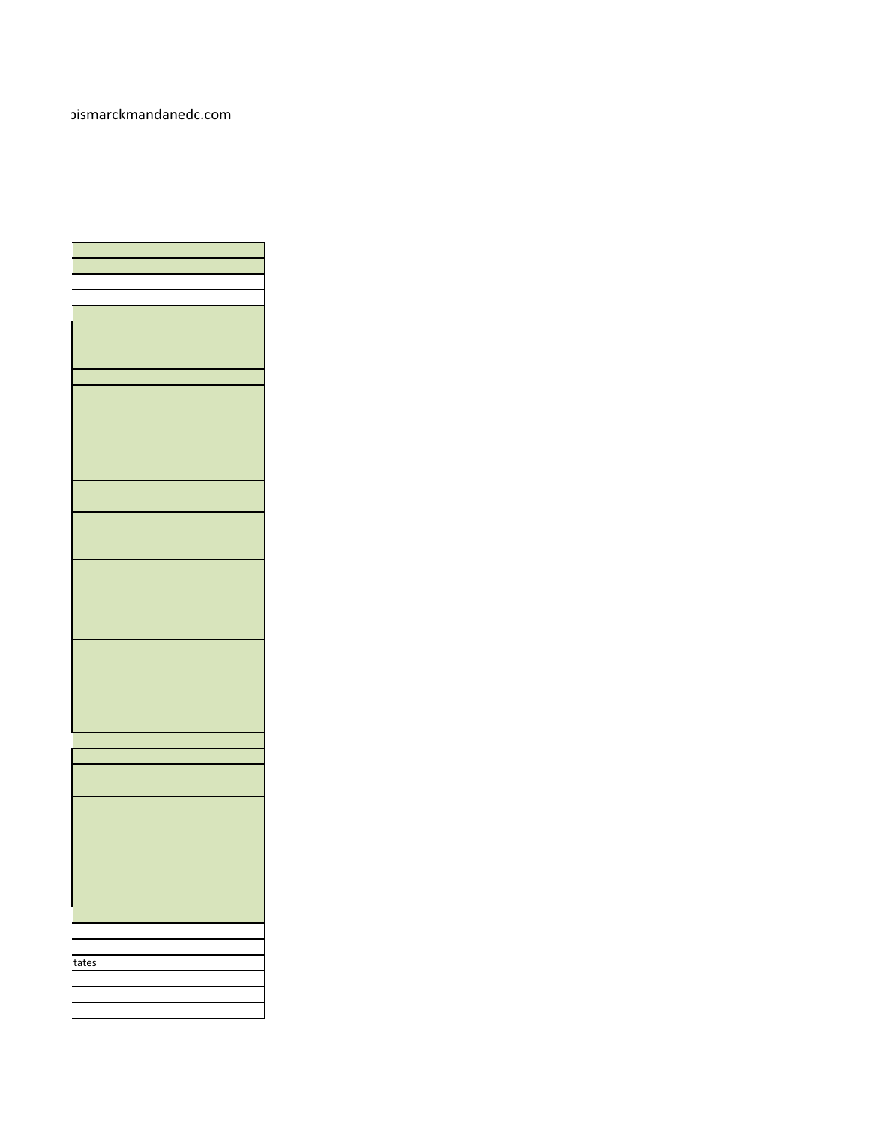## oismarckmandanedc.com